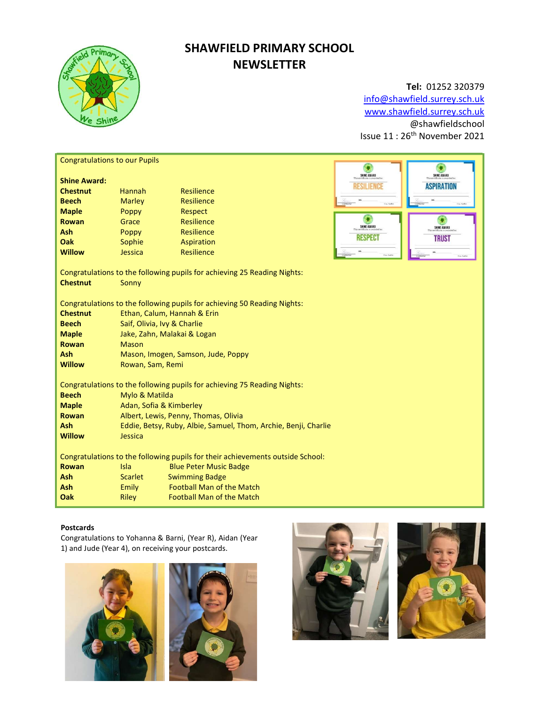

# SHAWFIELD PRIMARY SCHOOL **NEWSLETTER**

## Tel: 01252 320379

info@shawfield.surrey.sch.uk www.shawfield.surrey.sch.uk @shawfieldschool Issue 11 : 26th November 2021

| <b>Congratulations to our Pupils</b>                                           |                                                                 |                                                           |                  |                   |  |  |  |
|--------------------------------------------------------------------------------|-----------------------------------------------------------------|-----------------------------------------------------------|------------------|-------------------|--|--|--|
|                                                                                |                                                                 |                                                           | SHINE AWARD      | SHINE AWARD       |  |  |  |
| <b>Shine Award:</b><br><b>Chestnut</b>                                         |                                                                 |                                                           | <b>ESILIENCE</b> | <b>ASPIRATION</b> |  |  |  |
|                                                                                | <b>Hannah</b>                                                   | Resilience                                                |                  |                   |  |  |  |
| <b>Beech</b>                                                                   | <b>Marley</b>                                                   | Resilience                                                |                  |                   |  |  |  |
| <b>Maple</b>                                                                   | Poppy                                                           | Respect                                                   |                  |                   |  |  |  |
| Rowan                                                                          | Grace                                                           | Resilience                                                | SHINE AWARD      | SHINE AWARD       |  |  |  |
| Ash<br>Oak                                                                     | Poppy                                                           | Resilience                                                | <b>RESPEC</b>    | <b>TRUST</b>      |  |  |  |
|                                                                                | Sophie                                                          | Aspiration                                                |                  |                   |  |  |  |
| <b>Willow</b>                                                                  | Jessica                                                         | <b>Resilience</b>                                         |                  | Cay for           |  |  |  |
| Congratulations to the following pupils for achieving 25 Reading Nights:       |                                                                 |                                                           |                  |                   |  |  |  |
| <b>Chestnut</b>                                                                | Sonny                                                           |                                                           |                  |                   |  |  |  |
|                                                                                |                                                                 |                                                           |                  |                   |  |  |  |
| Congratulations to the following pupils for achieving 50 Reading Nights:       |                                                                 |                                                           |                  |                   |  |  |  |
| <b>Chestnut</b>                                                                | Ethan, Calum, Hannah & Erin                                     |                                                           |                  |                   |  |  |  |
| <b>Beech</b>                                                                   | Saif, Olivia, Ivy & Charlie                                     |                                                           |                  |                   |  |  |  |
| <b>Maple</b>                                                                   | Jake, Zahn, Malakai & Logan                                     |                                                           |                  |                   |  |  |  |
| <b>Rowan</b>                                                                   | Mason                                                           |                                                           |                  |                   |  |  |  |
| Ash                                                                            | Mason, Imogen, Samson, Jude, Poppy                              |                                                           |                  |                   |  |  |  |
| <b>Willow</b>                                                                  | Rowan, Sam, Remi                                                |                                                           |                  |                   |  |  |  |
|                                                                                |                                                                 |                                                           |                  |                   |  |  |  |
| Congratulations to the following pupils for achieving 75 Reading Nights:       |                                                                 |                                                           |                  |                   |  |  |  |
| <b>Beech</b>                                                                   | Mylo & Matilda                                                  |                                                           |                  |                   |  |  |  |
| <b>Maple</b>                                                                   | Adan, Sofia & Kimberley                                         |                                                           |                  |                   |  |  |  |
| <b>Rowan</b>                                                                   | Albert, Lewis, Penny, Thomas, Olivia                            |                                                           |                  |                   |  |  |  |
| Ash                                                                            | Eddie, Betsy, Ruby, Albie, Samuel, Thom, Archie, Benji, Charlie |                                                           |                  |                   |  |  |  |
| <b>Willow</b>                                                                  | Jessica                                                         |                                                           |                  |                   |  |  |  |
| Congratulations to the following pupils for their achievements outside School: |                                                                 |                                                           |                  |                   |  |  |  |
| <b>Rowan</b>                                                                   | Isla                                                            | <b>Blue Peter Music Badge</b>                             |                  |                   |  |  |  |
| <b>Ash</b>                                                                     | <b>Scarlet</b>                                                  |                                                           |                  |                   |  |  |  |
| Ash                                                                            |                                                                 | <b>Swimming Badge</b><br><b>Football Man of the Match</b> |                  |                   |  |  |  |
| Oak                                                                            | Emily                                                           | <b>Football Man of the Match</b>                          |                  |                   |  |  |  |
|                                                                                | <b>Riley</b>                                                    |                                                           |                  |                   |  |  |  |

## Postcards

Congratulations to Yohanna & Barni, (Year R), Aidan (Year 1) and Jude (Year 4), on receiving your postcards.





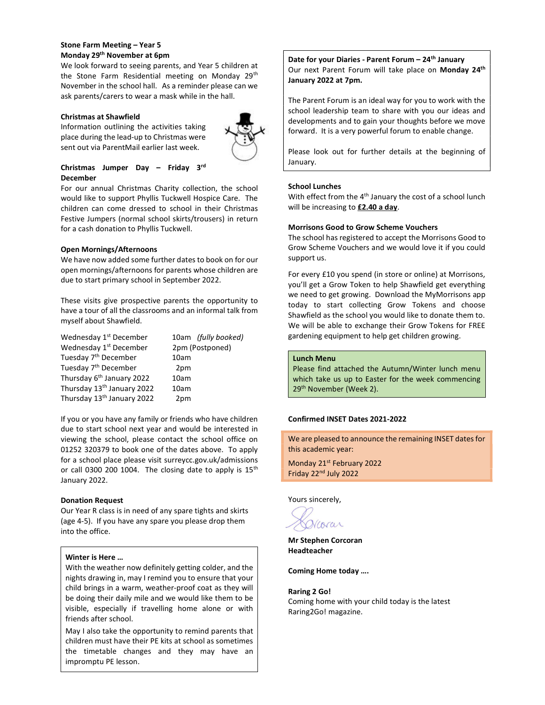## Stone Farm Meeting – Year 5 Monday 29th November at 6pm

We look forward to seeing parents, and Year 5 children at the Stone Farm Residential meeting on Monday 29<sup>th</sup> November in the school hall. As a reminder please can we ask parents/carers to wear a mask while in the hall.

## Christmas at Shawfield

Information outlining the activities taking place during the lead-up to Christmas were sent out via ParentMail earlier last week.



## Christmas Jumper Day – Friday 3rd December

For our annual Christmas Charity collection, the school would like to support Phyllis Tuckwell Hospice Care. The children can come dressed to school in their Christmas Festive Jumpers (normal school skirts/trousers) in return for a cash donation to Phyllis Tuckwell.

## Open Mornings/Afternoons

We have now added some further dates to book on for our open mornings/afternoons for parents whose children are due to start primary school in September 2022.

These visits give prospective parents the opportunity to have a tour of all the classrooms and an informal talk from myself about Shawfield.

| Wednesday 1 <sup>st</sup> December     | 10am (fully booked) |
|----------------------------------------|---------------------|
| Wednesday 1 <sup>st</sup> December     | 2pm (Postponed)     |
| Tuesday 7 <sup>th</sup> December       | 10am                |
| Tuesday 7 <sup>th</sup> December       | 2pm                 |
| Thursday 6 <sup>th</sup> January 2022  | 10am                |
| Thursday 13 <sup>th</sup> January 2022 | 10am                |
| Thursday 13 <sup>th</sup> January 2022 | 2pm                 |

If you or you have any family or friends who have children due to start school next year and would be interested in viewing the school, please contact the school office on 01252 320379 to book one of the dates above. To apply for a school place please visit surreycc.gov.uk/admissions or call 0300 200 1004. The closing date to apply is 15<sup>th</sup> January 2022.

#### Donation Request

Our Year R class is in need of any spare tights and skirts (age 4-5). If you have any spare you please drop them into the office.

#### Winter is Here …

With the weather now definitely getting colder, and the nights drawing in, may I remind you to ensure that your child brings in a warm, weather-proof coat as they will be doing their daily mile and we would like them to be visible, especially if travelling home alone or with friends after school.

May I also take the opportunity to remind parents that children must have their PE kits at school as sometimes the timetable changes and they may have an impromptu PE lesson.

Date for your Diaries - Parent Forum - 24<sup>th</sup> January Our next Parent Forum will take place on Monday 24<sup>th</sup> January 2022 at 7pm.

The Parent Forum is an ideal way for you to work with the school leadership team to share with you our ideas and developments and to gain your thoughts before we move forward. It is a very powerful forum to enable change.

Please look out for further details at the beginning of January.

## School Lunches

With effect from the  $4<sup>th</sup>$  January the cost of a school lunch will be increasing to  $£2.40$  a day.

## Morrisons Good to Grow Scheme Vouchers

The school has registered to accept the Morrisons Good to Grow Scheme Vouchers and we would love it if you could support us.

For every £10 you spend (in store or online) at Morrisons, you'll get a Grow Token to help Shawfield get everything we need to get growing. Download the MyMorrisons app today to start collecting Grow Tokens and choose Shawfield as the school you would like to donate them to. We will be able to exchange their Grow Tokens for FREE gardening equipment to help get children growing.

#### Lunch Menu

Please find attached the Autumn/Winter lunch menu which take us up to Easter for the week commencing 29<sup>th</sup> November (Week 2).

## Confirmed INSET Dates 2021-2022

We are pleased to announce the remaining INSET dates for this academic year:

Monday 21st February 2022 Friday 22nd July 2022

Yours sincerely,

Vcorar

Mr Stephen Corcoran Headteacher

Coming Home today ….

## Raring 2 Go!

Coming home with your child today is the latest Raring2Go! magazine.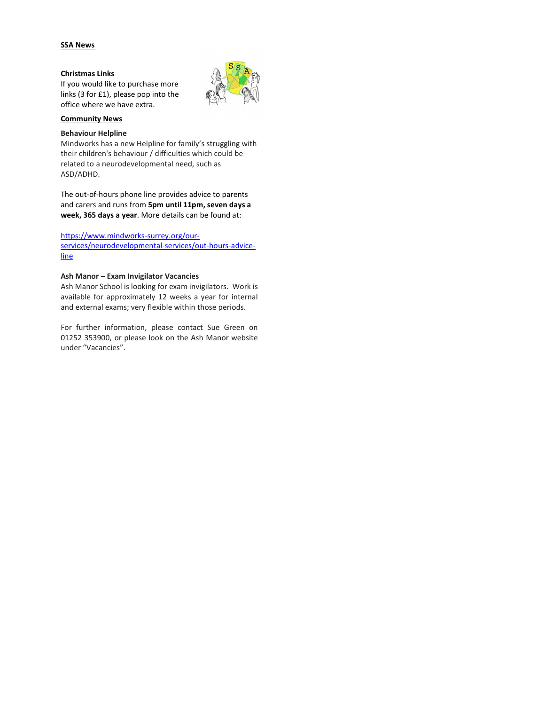## SSA News

## Christmas Links

If you would like to purchase more links (3 for £1), please pop into the office where we have extra.



#### Community News

#### Behaviour Helpline

Mindworks has a new Helpline for family's struggling with their children's behaviour / difficulties which could be related to a neurodevelopmental need, such as ASD/ADHD.

The out-of-hours phone line provides advice to parents and carers and runs from 5pm until 11pm, seven days a week, 365 days a year. More details can be found at:

## https://www.mindworks-surrey.org/our-

services/neurodevelopmental-services/out-hours-adviceline

## Ash Manor – Exam Invigilator Vacancies

Ash Manor School is looking for exam invigilators. Work is available for approximately 12 weeks a year for internal and external exams; very flexible within those periods.

For further information, please contact Sue Green on 01252 353900, or please look on the Ash Manor website under "Vacancies".